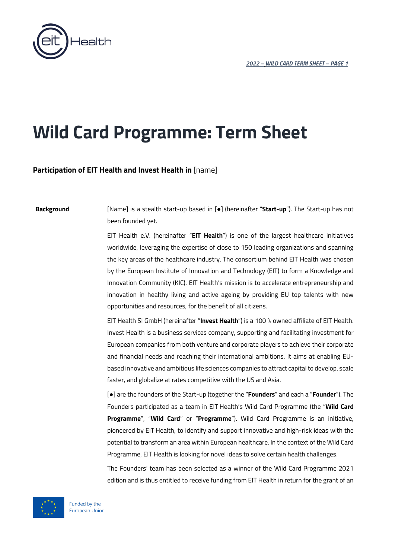

# **Wild Card Programme: Term Sheet**

# **Participation of EIT Health and Invest Health in** [name]

**Background** [Name] is a stealth start-up based in [●] (hereinafter "**Start-up**"). The Start-up has not been founded yet.

> EIT Health e.V. (hereinafter "**EIT Health**") is one of the largest healthcare initiatives worldwide, leveraging the expertise of close to 150 leading organizations and spanning the key areas of the healthcare industry. The consortium behind EIT Health was chosen by the European Institute of Innovation and Technology (EIT) to form a Knowledge and Innovation Community (KIC). EIT Health's mission is to accelerate entrepreneurship and innovation in healthy living and active ageing by providing EU top talents with new opportunities and resources, for the benefit of all citizens.

> EIT Health SI GmbH (hereinafter "**Invest Health**") is a 100 % owned affiliate of EIT Health. Invest Health is a business services company, supporting and facilitating investment for European companies from both venture and corporate players to achieve their corporate and financial needs and reaching their international ambitions. It aims at enabling EUbased innovative and ambitious life sciences companies to attract capital to develop, scale faster, and globalize at rates competitive with the US and Asia.

> [●] are the founders of the Start-up (together the "**Founders**" and each a "**Founder**"). The Founders participated as a team in EIT Health's Wild Card Programme (the "**Wild Card Programme**", "**Wild Card**" or "**Programme**"). Wild Card Programme is an initiative, pioneered by EIT Health, to identify and support innovative and high-risk ideas with the potential to transform an area within European healthcare. In the context of the Wild Card Programme, EIT Health is looking for novel ideas to solve certain health challenges.

> The Founders' team has been selected as a winner of the Wild Card Programme 2021 edition and is thus entitled to receive funding from EIT Health in return for the grant of an

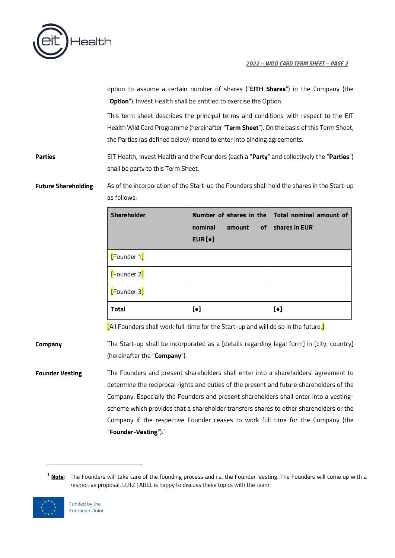

option to assume a certain number of shares ("**EITH Shares**") in the Company (the "**Option**"). Invest Health shall be entitled to exercise the Option.

This term sheet describes the principal terms and conditions with respect to the EIT Health Wild Card Programme (hereinafter "**Term Sheet**"). On the basis of this Term Sheet, the Parties (as defined below) intend to enter into binding agreements.

**Parties** EIT Health, Invest Health and the Founders (each a "**Party**" and collectively the "**Parties**") shall be party to this Term Sheet.

# **Future Shareholding** As of the incorporation of the Start-up the Founders shall hold the shares in the Start-up as follows:

| <b>Shareholder</b> | nominal<br><b>of</b><br>amount<br>EUR $[•]$ | Number of shares in the Total nominal amount of<br>shares in EUR |
|--------------------|---------------------------------------------|------------------------------------------------------------------|
| [Founder 1]        |                                             |                                                                  |
| [Founder 2]        |                                             |                                                                  |
| [Founder 3]        |                                             |                                                                  |
| <b>Total</b>       | $\lbrack \bullet \rbrack$                   | $\lbrack \bullet \rbrack$                                        |

[All Founders shall work full-time for the Start-up and will do so in the future.]

**Company** The Start-up shall be incorporated as a [details regarding legal form] in [city, country] (hereinafter the "**Company**").

**Founder Vesting** The Founders and present shareholders shall enter into a shareholders' agreement to determine the reciprocal rights and duties of the present and future shareholders of the Company. Especially the Founders and present shareholders shall enter into a vestingscheme which provides that a shareholder transfers shares to other shareholders or the Company if the respective Founder ceases to work full time for the Company (the "**Founder-Vesting**").[1](#page-1-0)

<span id="page-1-0"></span><sup>1</sup> **Note**: The Founders will take care of the founding process and i.a. the Founder-Vesting. The Founders will come up with a respective proposal. LUTZ | ABEL is happy to discuss these topics with the team.

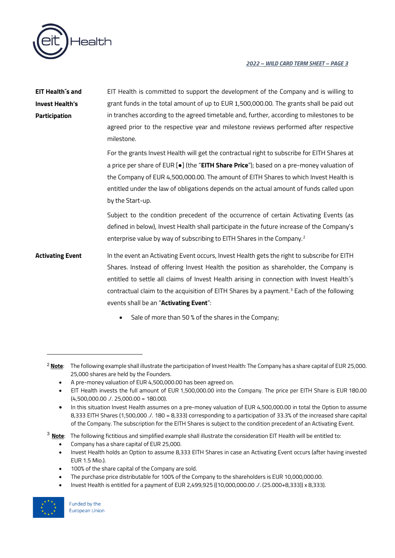

| EIT Health´s and        | EIT Health is committed to support the development of the Company and is willing to                  |
|-------------------------|------------------------------------------------------------------------------------------------------|
| Invest Health's         | grant funds in the total amount of up to EUR 1,500,000.00. The grants shall be paid out              |
| <b>Participation</b>    | in tranches according to the agreed timetable and, further, according to milestones to be            |
|                         | agreed prior to the respective year and milestone reviews performed after respective                 |
|                         | milestone.                                                                                           |
|                         | For the grants Invest Health will get the contractual right to subscribe for EITH Shares at          |
|                         | a price per share of EUR [.] (the "EITH Share Price"); based on a pre-money valuation of             |
|                         | the Company of EUR 4,500,000.00. The amount of EITH Shares to which Invest Health is                 |
|                         | entitled under the law of obligations depends on the actual amount of funds called upon              |
|                         | by the Start-up.                                                                                     |
|                         | Subject to the condition precedent of the occurrence of certain Activating Events (as                |
|                         | defined in below), Invest Health shall participate in the future increase of the Company's           |
|                         | enterprise value by way of subscribing to EITH Shares in the Company. <sup>2</sup>                   |
| <b>Activating Event</b> | In the event an Activating Event occurs, Invest Health gets the right to subscribe for EITH          |
|                         | Shares. Instead of offering Invest Health the position as shareholder, the Company is                |
|                         | entitled to settle all claims of Invest Health arising in connection with Invest Health's            |
|                         | contractual claim to the acquisition of EITH Shares by a payment. <sup>3</sup> Each of the following |
|                         | events shall be an "Activating Event":                                                               |
|                         | Sale of more than 50 % of the shares in the Company;                                                 |

- A pre-money valuation of EUR 4,500,000.00 has been agreed on.
- EIT Health invests the full amount of EUR 1,500,000.00 into the Company. The price per EITH Share is EUR 180.00 (4,500,000.00 ./. 25,000.00 = 180.00).
- In this situation Invest Health assumes on a pre-money valuation of EUR 4,500,000.00 in total the Option to assume 8,333 EITH Shares (1,500,000 ./. 180 = 8,333) corresponding to a participation of 33.3% of the increased share capital of the Company. The subscription for the EITH Shares is subject to the condition precedent of an Activating Event.

<span id="page-2-1"></span><sup>3</sup> **Note**: The following fictitious and simplified example shall illustrate the consideration EIT Health will be entitled to:

- Company has a share capital of EUR 25,000.
- Invest Health holds an Option to assume 8,333 EITH Shares in case an Activating Event occurs (after having invested EUR 1.5 Mio.).
- 100% of the share capital of the Company are sold.
- The purchase price distributable for 100% of the Company to the shareholders is EUR 10,000,000.00.
- Invest Health is entitled for a payment of EUR 2,499,925 ((10,000,000.00 ./. (25.000+8,333)) x 8,333).



<span id="page-2-0"></span><sup>&</sup>lt;sup>2</sup> Note: The following example shall illustrate the participation of Invest Health: The Company has a share capital of EUR 25,000. 25,000 shares are held by the Founders.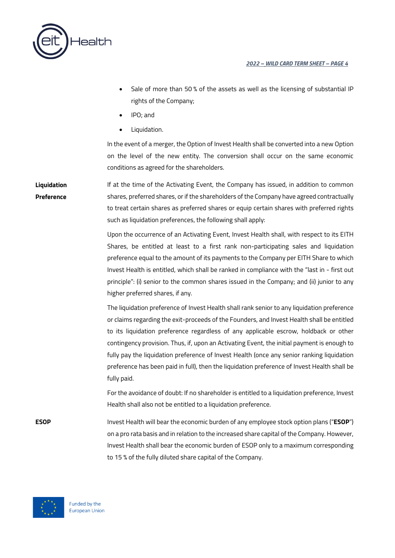

- Sale of more than 50% of the assets as well as the licensing of substantial IP rights of the Company;
- IPO; and
- Liquidation.

In the event of a merger, the Option of Invest Health shall be converted into a new Option on the level of the new entity. The conversion shall occur on the same economic conditions as agreed for the shareholders.

**Liquidation Preference** If at the time of the Activating Event, the Company has issued, in addition to common shares, preferred shares, or if the shareholders of the Company have agreed contractually to treat certain shares as preferred shares or equip certain shares with preferred rights such as liquidation preferences, the following shall apply:

> Upon the occurrence of an Activating Event, Invest Health shall, with respect to its EITH Shares, be entitled at least to a first rank non-participating sales and liquidation preference equal to the amount of its payments to the Company per EITH Share to which Invest Health is entitled, which shall be ranked in compliance with the "last in - first out principle": (i) senior to the common shares issued in the Company; and (ii) junior to any higher preferred shares, if any.

> The liquidation preference of Invest Health shall rank senior to any liquidation preference or claims regarding the exit-proceeds of the Founders, and Invest Health shall be entitled to its liquidation preference regardless of any applicable escrow, holdback or other contingency provision. Thus, if, upon an Activating Event, the initial payment is enough to fully pay the liquidation preference of Invest Health (once any senior ranking liquidation preference has been paid in full), then the liquidation preference of Invest Health shall be fully paid.

> For the avoidance of doubt: If no shareholder is entitled to a liquidation preference, Invest Health shall also not be entitled to a liquidation preference.

**ESOP** Invest Health will bear the economic burden of any employee stock option plans ("**ESOP**") on a pro rata basis and in relation to the increased share capital of the Company. However, Invest Health shall bear the economic burden of ESOP only to a maximum corresponding to 15 % of the fully diluted share capital of the Company.

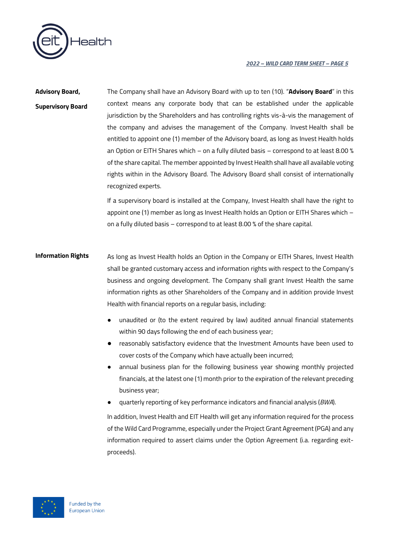

**Advisory Board, Supervisory Board** The Company shall have an Advisory Board with up to ten (10). "**Advisory Board**" in this context means any corporate body that can be established under the applicable jurisdiction by the Shareholders and has controlling rights vis-à-vis the management of the company and advises the management of the Company. Invest Health shall be entitled to appoint one (1) member of the Advisory board, as long as Invest Health holds an Option or EITH Shares which – on a fully diluted basis – correspond to at least 8.00 % of the share capital. The member appointed by Invest Health shall have all available voting rights within in the Advisory Board. The Advisory Board shall consist of internationally recognized experts.

> If a supervisory board is installed at the Company, Invest Health shall have the right to appoint one (1) member as long as Invest Health holds an Option or EITH Shares which – on a fully diluted basis – correspond to at least 8.00 % of the share capital.

# **Information Rights** As long as Invest Health holds an Option in the Company or EITH Shares, Invest Health shall be granted customary access and information rights with respect to the Company's business and ongoing development. The Company shall grant Invest Health the same information rights as other Shareholders of the Company and in addition provide Invest Health with financial reports on a regular basis, including:

- unaudited or (to the extent required by law) audited annual financial statements within 90 days following the end of each business year;
- reasonably satisfactory evidence that the Investment Amounts have been used to cover costs of the Company which have actually been incurred;
- annual business plan for the following business year showing monthly projected financials, at the latest one (1) month prior to the expiration of the relevant preceding business year;
- quarterly reporting of key performance indicators and financial analysis (*BWA*).

In addition, Invest Health and EIT Health will get any information required for the process of the Wild Card Programme, especially under the Project Grant Agreement (PGA) and any information required to assert claims under the Option Agreement (i.a. regarding exitproceeds).

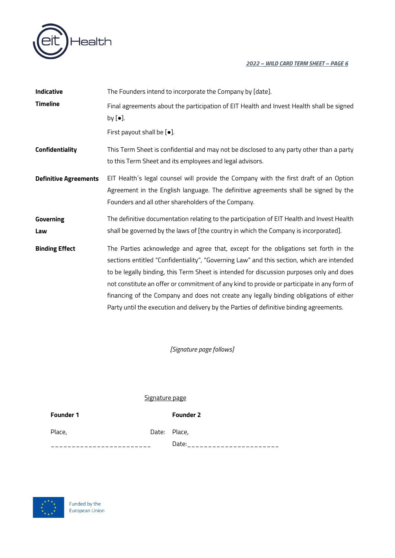

| Indicative                   | The Founders intend to incorporate the Company by [date].                                                                                                                                                                                                                                                                                                                                                                                                                                                                                                       |
|------------------------------|-----------------------------------------------------------------------------------------------------------------------------------------------------------------------------------------------------------------------------------------------------------------------------------------------------------------------------------------------------------------------------------------------------------------------------------------------------------------------------------------------------------------------------------------------------------------|
| <b>Timeline</b>              | Final agreements about the participation of EIT Health and Invest Health shall be signed<br>by $[\bullet]$ .<br>First payout shall be [ $\bullet$ ].                                                                                                                                                                                                                                                                                                                                                                                                            |
| Confidentiality              | This Term Sheet is confidential and may not be disclosed to any party other than a party<br>to this Term Sheet and its employees and legal advisors.                                                                                                                                                                                                                                                                                                                                                                                                            |
| <b>Definitive Agreements</b> | EIT Health's legal counsel will provide the Company with the first draft of an Option<br>Agreement in the English language. The definitive agreements shall be signed by the<br>Founders and all other shareholders of the Company.                                                                                                                                                                                                                                                                                                                             |
| Governing<br>Law             | The definitive documentation relating to the participation of EIT Health and Invest Health<br>shall be governed by the laws of [the country in which the Company is incorporated].                                                                                                                                                                                                                                                                                                                                                                              |
| <b>Binding Effect</b>        | The Parties acknowledge and agree that, except for the obligations set forth in the<br>sections entitled "Confidentiality", "Governing Law" and this section, which are intended<br>to be legally binding, this Term Sheet is intended for discussion purposes only and does<br>not constitute an offer or commitment of any kind to provide or participate in any form of<br>financing of the Company and does not create any legally binding obligations of either<br>Party until the execution and delivery by the Parties of definitive binding agreements. |

*[Signature page follows]*

# Signature page

**Founder 1 Founder 2**

Place, **Place, Place, Place, Place, Place**,

Date:\_\_\_\_\_\_\_\_\_\_\_\_\_\_\_\_\_\_\_\_\_\_\_\_

\_\_\_\_\_\_\_\_\_\_\_\_\_\_\_\_\_\_\_\_\_\_\_\_

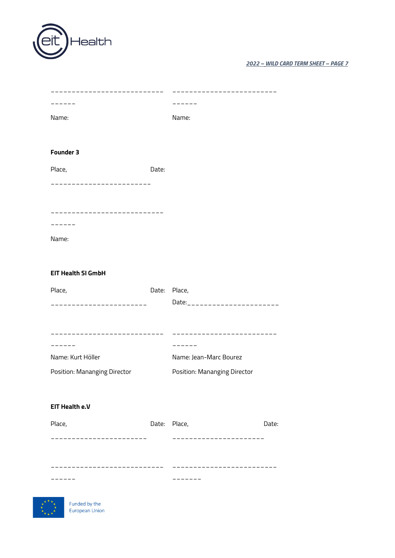| $\sqrt{$ eit Health |  |
|---------------------|--|
|---------------------|--|

| .              |       | ----  |
|----------------|-------|-------|
| Name:          |       | Name: |
|                |       |       |
| Founder 3      |       |       |
| Place,         | Date: |       |
| -------------- |       |       |
|                |       |       |
|                |       |       |
| -----          |       |       |
| Name:          |       |       |
|                |       |       |
|                |       |       |

# **EIT Health SI GmbH**

| Place,                              | Date: | Place.                       |
|-------------------------------------|-------|------------------------------|
|                                     |       |                              |
|                                     |       |                              |
|                                     |       |                              |
|                                     |       |                              |
|                                     |       |                              |
| Name: Kurt Höller                   |       | Name: Jean-Marc Bourez       |
| <b>Position: Mananging Director</b> |       | Position: Mananging Director |

# **EIT Health e.V**

| Place, | Date: Place, | Date: |
|--------|--------------|-------|
|        |              |       |
|        |              |       |
|        |              |       |
|        |              |       |